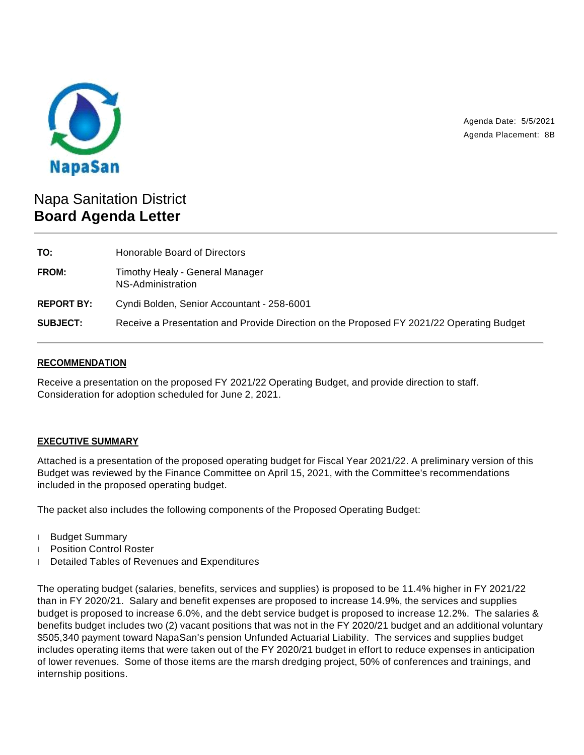

Agenda Date: 5/5/2021 Agenda Placement: 8B

# Napa Sanitation District **Board Agenda Letter**

| TO:               | Honorable Board of Directors                                                             |
|-------------------|------------------------------------------------------------------------------------------|
| FROM:             | Timothy Healy - General Manager<br>NS-Administration                                     |
| <b>REPORT BY:</b> | Cyndi Bolden, Senior Accountant - 258-6001                                               |
| <b>SUBJECT:</b>   | Receive a Presentation and Provide Direction on the Proposed FY 2021/22 Operating Budget |

## **RECOMMENDATION**

Receive a presentation on the proposed FY 2021/22 Operating Budget, and provide direction to staff. Consideration for adoption scheduled for June 2, 2021.

## **EXECUTIVE SUMMARY**

Attached is a presentation of the proposed operating budget for Fiscal Year 2021/22. A preliminary version of this Budget was reviewed by the Finance Committee on April 15, 2021, with the Committee's recommendations included in the proposed operating budget.

The packet also includes the following components of the Proposed Operating Budget:

- Budget Summary
- Position Control Roster
- Detailed Tables of Revenues and Expenditures

The operating budget (salaries, benefits, services and supplies) is proposed to be 11.4% higher in FY 2021/22 than in FY 2020/21. Salary and benefit expenses are proposed to increase 14.9%, the services and supplies budget is proposed to increase 6.0%, and the debt service budget is proposed to increase 12.2%. The salaries & benefits budget includes two (2) vacant positions that was not in the FY 2020/21 budget and an additional voluntary \$505,340 payment toward NapaSan's pension Unfunded Actuarial Liability. The services and supplies budget includes operating items that were taken out of the FY 2020/21 budget in effort to reduce expenses in anticipation of lower revenues. Some of those items are the marsh dredging project, 50% of conferences and trainings, and internship positions.